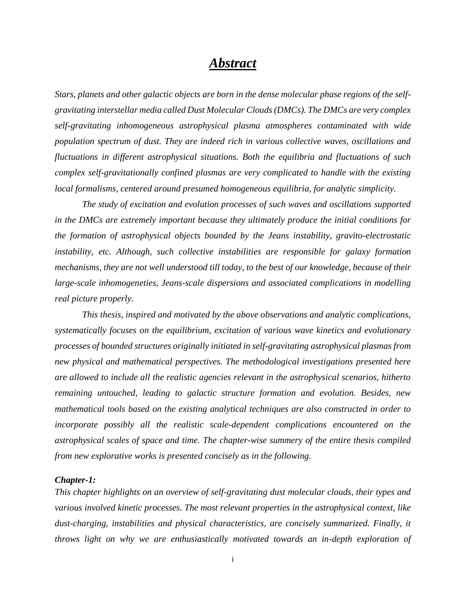# *Abstract*

*Stars, planets and other galactic objects are born in the dense molecular phase regions of the selfgravitating interstellar media called Dust Molecular Clouds (DMCs). The DMCs are very complex self-gravitating inhomogeneous astrophysical plasma atmospheres contaminated with wide population spectrum of dust. They are indeed rich in various collective waves, oscillations and fluctuations in different astrophysical situations. Both the equilibria and fluctuations of such complex self-gravitationally confined plasmas are very complicated to handle with the existing local formalisms, centered around presumed homogeneous equilibria, for analytic simplicity.* 

*The study of excitation and evolution processes of such waves and oscillations supported in the DMCs are extremely important because they ultimately produce the initial conditions for the formation of astrophysical objects bounded by the Jeans instability, gravito-electrostatic instability, etc. Although, such collective instabilities are responsible for galaxy formation mechanisms, they are not well understood till today, to the best of our knowledge, because of their large-scale inhomogeneties, Jeans-scale dispersions and associated complications in modelling real picture properly.* 

*This thesis, inspired and motivated by the above observations and analytic complications, systematically focuses on the equilibrium, excitation of various wave kinetics and evolutionary processes of bounded structures originally initiated in self-gravitating astrophysical plasmas from new physical and mathematical perspectives. The methodological investigations presented here are allowed to include all the realistic agencies relevant in the astrophysical scenarios, hitherto remaining untouched, leading to galactic structure formation and evolution. Besides, new mathematical tools based on the existing analytical techniques are also constructed in order to incorporate possibly all the realistic scale-dependent complications encountered on the astrophysical scales of space and time. The chapter-wise summery of the entire thesis compiled from new explorative works is presented concisely as in the following.*

## *Chapter-1:*

*This chapter highlights on an overview of self-gravitating dust molecular clouds, their types and various involved kinetic processes. The most relevant properties in the astrophysical context, like dust-charging, instabilities and physical characteristics, are concisely summarized. Finally, it throws light on why we are enthusiastically motivated towards an in-depth exploration of*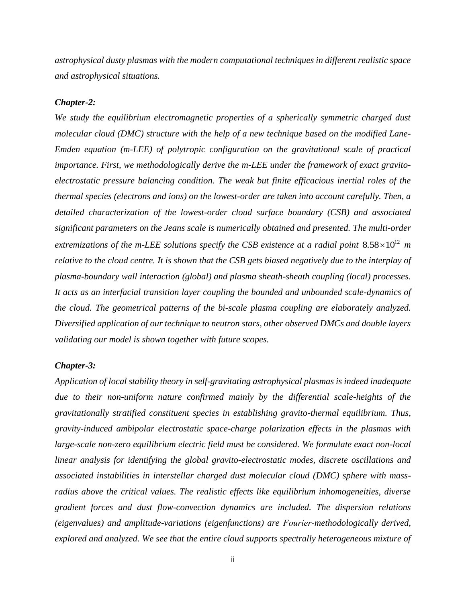*astrophysical dusty plasmas with the modern computational techniques in different realistic space and astrophysical situations.*

## *Chapter-2:*

*We study the equilibrium electromagnetic properties of a spherically symmetric charged dust molecular cloud (DMC) structure with the help of a new technique based on the modified Lane-Emden equation (m-LEE) of polytropic configuration on the gravitational scale of practical importance. First, we methodologically derive the m-LEE under the framework of exact gravitoelectrostatic pressure balancing condition. The weak but finite efficacious inertial roles of the thermal species (electrons and ions) on the lowest-order are taken into account carefully. Then, a detailed characterization of the lowest-order cloud surface boundary (CSB) and associated significant parameters on the Jeans scale is numerically obtained and presented. The multi-order extremizations of the m-LEE solutions specify the CSB existence at a radial point*  $8.58\times10^{12}$  *m relative to the cloud centre. It is shown that the CSB gets biased negatively due to the interplay of plasma-boundary wall interaction (global) and plasma sheath-sheath coupling (local) processes. It acts as an interfacial transition layer coupling the bounded and unbounded scale-dynamics of the cloud. The geometrical patterns of the bi-scale plasma coupling are elaborately analyzed. Diversified application of our technique to neutron stars, other observed DMCs and double layers validating our model is shown together with future scopes.* 

## *Chapter-3:*

*Application of local stability theory in self-gravitating astrophysical plasmas is indeed inadequate due to their non-uniform nature confirmed mainly by the differential scale-heights of the gravitationally stratified constituent species in establishing gravito-thermal equilibrium. Thus, gravity-induced ambipolar electrostatic space-charge polarization effects in the plasmas with large-scale non-zero equilibrium electric field must be considered. We formulate exact non-local linear analysis for identifying the global gravito-electrostatic modes, discrete oscillations and associated instabilities in interstellar charged dust molecular cloud (DMC) sphere with massradius above the critical values. The realistic effects like equilibrium inhomogeneities, diverse gradient forces and dust flow-convection dynamics are included. The dispersion relations (eigenvalues) and amplitude-variations (eigenfunctions) are Fourier-methodologically derived, explored and analyzed. We see that the entire cloud supports spectrally heterogeneous mixture of*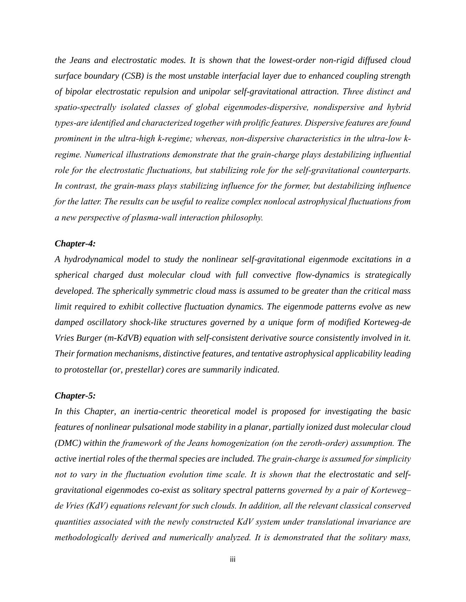*the Jeans and electrostatic modes. It is shown that the lowest-order non-rigid diffused cloud surface boundary (CSB) is the most unstable interfacial layer due to enhanced coupling strength of bipolar electrostatic repulsion and unipolar self-gravitational attraction. Three distinct and spatio-spectrally isolated classes of global eigenmodes-dispersive, nondispersive and hybrid types-are identified and characterized together with prolific features. Dispersive features are found prominent in the ultra-high k-regime; whereas, non-dispersive characteristics in the ultra-low kregime. Numerical illustrations demonstrate that the grain-charge plays destabilizing influential role for the electrostatic fluctuations, but stabilizing role for the self-gravitational counterparts. In contrast, the grain-mass plays stabilizing influence for the former, but destabilizing influence for the latter. The results can be useful to realize complex nonlocal astrophysical fluctuations from a new perspective of plasma-wall interaction philosophy.*

# *Chapter-4:*

*A hydrodynamical model to study the nonlinear self-gravitational eigenmode excitations in a spherical charged dust molecular cloud with full convective flow-dynamics is strategically developed. The spherically symmetric cloud mass is assumed to be greater than the critical mass limit required to exhibit collective fluctuation dynamics. The eigenmode patterns evolve as new damped oscillatory shock-like structures governed by a unique form of modified Korteweg-de Vries Burger (m-KdVB) equation with self-consistent derivative source consistently involved in it. Their formation mechanisms, distinctive features, and tentative astrophysical applicability leading to protostellar (or, prestellar) cores are summarily indicated.*

#### *Chapter-5:*

*In this Chapter, an inertia-centric theoretical model is proposed for investigating the basic features of nonlinear pulsational mode stability in a planar, partially ionized dust molecular cloud (DMC) within the framework of the Jeans homogenization (on the zeroth-order) assumption. The active inertial roles of the thermal species are included. The grain-charge is assumed for simplicity not to vary in the fluctuation evolution time scale. It is shown that the electrostatic and selfgravitational eigenmodes co-exist as solitary spectral patterns governed by a pair of Korteweg– de Vries (KdV) equations relevant for such clouds. In addition, all the relevant classical conserved quantities associated with the newly constructed KdV system under translational invariance are methodologically derived and numerically analyzed. It is demonstrated that the solitary mass,*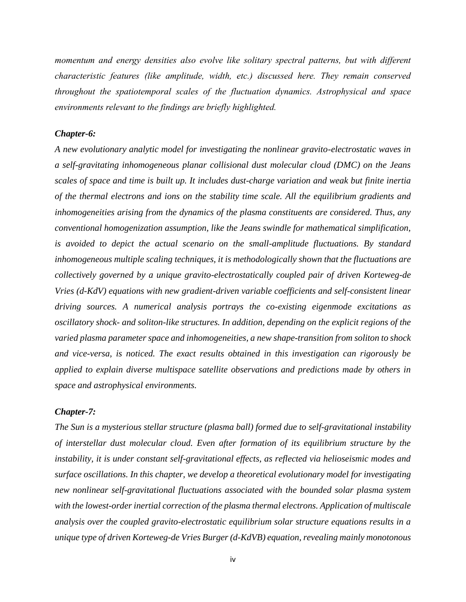*momentum and energy densities also evolve like solitary spectral patterns, but with different characteristic features (like amplitude, width, etc.) discussed here. They remain conserved throughout the spatiotemporal scales of the fluctuation dynamics. Astrophysical and space environments relevant to the findings are briefly highlighted.*

# *Chapter-6:*

*A new evolutionary analytic model for investigating the nonlinear gravito-electrostatic waves in a self-gravitating inhomogeneous planar collisional dust molecular cloud (DMC) on the Jeans scales of space and time is built up. It includes dust-charge variation and weak but finite inertia of the thermal electrons and ions on the stability time scale. All the equilibrium gradients and inhomogeneities arising from the dynamics of the plasma constituents are considered. Thus, any conventional homogenization assumption, like the Jeans swindle for mathematical simplification, is avoided to depict the actual scenario on the small-amplitude fluctuations. By standard inhomogeneous multiple scaling techniques, it is methodologically shown that the fluctuations are collectively governed by a unique gravito-electrostatically coupled pair of driven Korteweg-de Vries (d-KdV) equations with new gradient-driven variable coefficients and self-consistent linear driving sources. A numerical analysis portrays the co-existing eigenmode excitations as oscillatory shock- and soliton-like structures. In addition, depending on the explicit regions of the varied plasma parameter space and inhomogeneities, a new shape-transition from soliton to shock and vice-versa, is noticed. The exact results obtained in this investigation can rigorously be applied to explain diverse multispace satellite observations and predictions made by others in space and astrophysical environments.*

# *Chapter-7:*

*The Sun is a mysterious stellar structure (plasma ball) formed due to self-gravitational instability of interstellar dust molecular cloud. Even after formation of its equilibrium structure by the instability, it is under constant self-gravitational effects, as reflected via helioseismic modes and surface oscillations. In this chapter, we develop a theoretical evolutionary model for investigating new nonlinear self-gravitational fluctuations associated with the bounded solar plasma system with the lowest-order inertial correction of the plasma thermal electrons. Application of multiscale analysis over the coupled gravito-electrostatic equilibrium solar structure equations results in a unique type of driven Korteweg-de Vries Burger (d-KdVB) equation, revealing mainly monotonous*